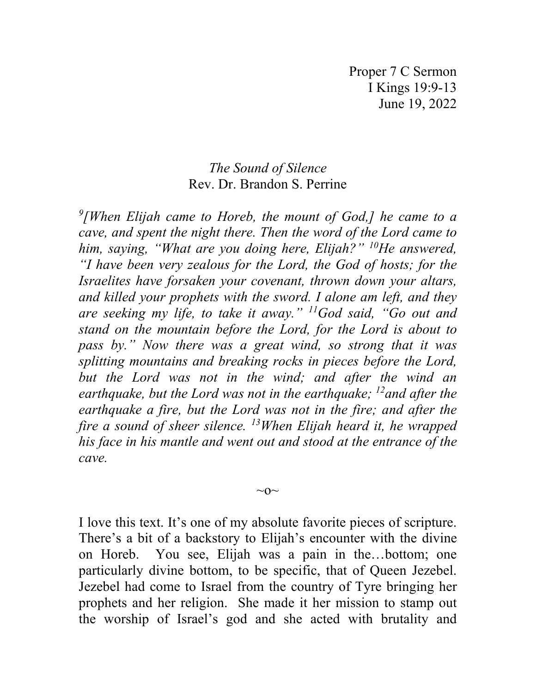Proper 7 C Sermon I Kings 19:9-13 June 19, 2022

## *The Sound of Silence* Rev. Dr. Brandon S. Perrine

*9 [When Elijah came to Horeb, the mount of God,] he came to a cave, and spent the night there. Then the word of the Lord came to him, saying, "What are you doing here, Elijah?" 10He answered, "I have been very zealous for the Lord, the God of hosts; for the Israelites have forsaken your covenant, thrown down your altars, and killed your prophets with the sword. I alone am left, and they are seeking my life, to take it away." 11God said, "Go out and stand on the mountain before the Lord, for the Lord is about to pass by." Now there was a great wind, so strong that it was splitting mountains and breaking rocks in pieces before the Lord, but the Lord was not in the wind; and after the wind an earthquake, but the Lord was not in the earthquake; 12and after the earthquake a fire, but the Lord was not in the fire; and after the fire a sound of sheer silence. 13When Elijah heard it, he wrapped his face in his mantle and went out and stood at the entrance of the cave.* 

 $\sim$ O $\sim$ 

I love this text. It's one of my absolute favorite pieces of scripture. There's a bit of a backstory to Elijah's encounter with the divine on Horeb. You see, Elijah was a pain in the…bottom; one particularly divine bottom, to be specific, that of Queen Jezebel. Jezebel had come to Israel from the country of Tyre bringing her prophets and her religion. She made it her mission to stamp out the worship of Israel's god and she acted with brutality and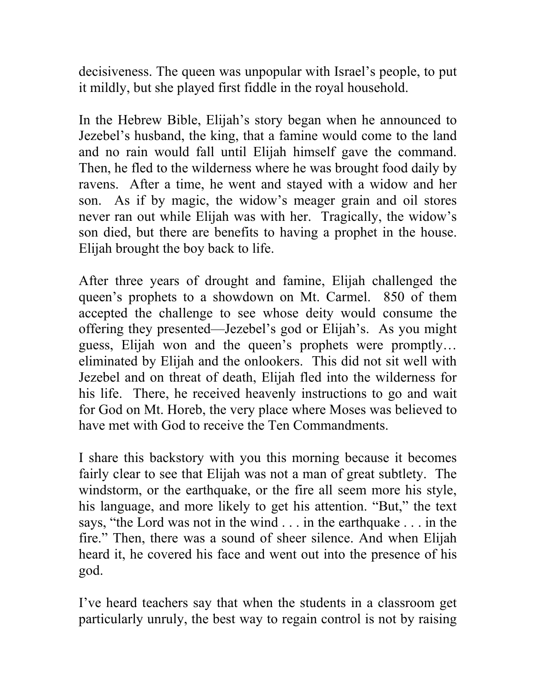decisiveness. The queen was unpopular with Israel's people, to put it mildly, but she played first fiddle in the royal household.

In the Hebrew Bible, Elijah's story began when he announced to Jezebel's husband, the king, that a famine would come to the land and no rain would fall until Elijah himself gave the command. Then, he fled to the wilderness where he was brought food daily by ravens. After a time, he went and stayed with a widow and her son. As if by magic, the widow's meager grain and oil stores never ran out while Elijah was with her. Tragically, the widow's son died, but there are benefits to having a prophet in the house. Elijah brought the boy back to life.

After three years of drought and famine, Elijah challenged the queen's prophets to a showdown on Mt. Carmel. 850 of them accepted the challenge to see whose deity would consume the offering they presented—Jezebel's god or Elijah's. As you might guess, Elijah won and the queen's prophets were promptly… eliminated by Elijah and the onlookers. This did not sit well with Jezebel and on threat of death, Elijah fled into the wilderness for his life. There, he received heavenly instructions to go and wait for God on Mt. Horeb, the very place where Moses was believed to have met with God to receive the Ten Commandments.

I share this backstory with you this morning because it becomes fairly clear to see that Elijah was not a man of great subtlety. The windstorm, or the earthquake, or the fire all seem more his style, his language, and more likely to get his attention. "But," the text says, "the Lord was not in the wind . . . in the earthquake . . . in the fire." Then, there was a sound of sheer silence. And when Elijah heard it, he covered his face and went out into the presence of his god.

I've heard teachers say that when the students in a classroom get particularly unruly, the best way to regain control is not by raising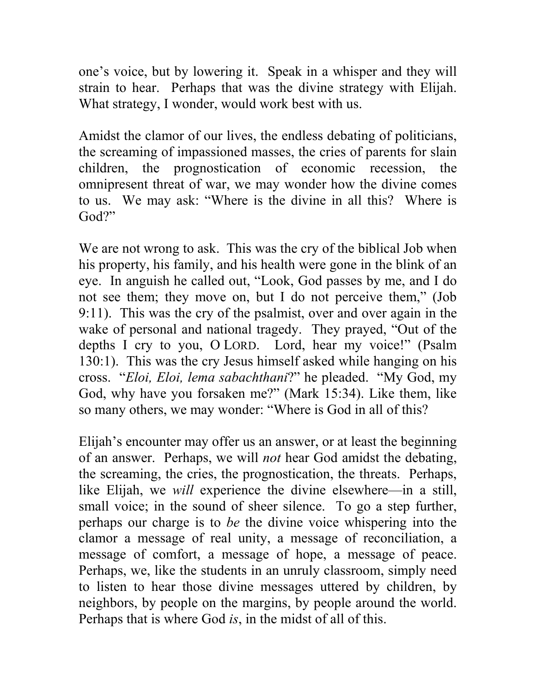one's voice, but by lowering it. Speak in a whisper and they will strain to hear. Perhaps that was the divine strategy with Elijah. What strategy, I wonder, would work best with us.

Amidst the clamor of our lives, the endless debating of politicians, the screaming of impassioned masses, the cries of parents for slain children, the prognostication of economic recession, the omnipresent threat of war, we may wonder how the divine comes to us. We may ask: "Where is the divine in all this? Where is God?"

We are not wrong to ask. This was the cry of the biblical Job when his property, his family, and his health were gone in the blink of an eye. In anguish he called out, "Look, God passes by me, and I do not see them; they move on, but I do not perceive them," (Job 9:11). This was the cry of the psalmist, over and over again in the wake of personal and national tragedy. They prayed, "Out of the depths I cry to you, O LORD. Lord, hear my voice!" (Psalm 130:1). This was the cry Jesus himself asked while hanging on his cross. "*Eloi, Eloi, lema sabachthani*?" he pleaded. "My God, my God, why have you forsaken me?" (Mark 15:34). Like them, like so many others, we may wonder: "Where is God in all of this?

Elijah's encounter may offer us an answer, or at least the beginning of an answer. Perhaps, we will *not* hear God amidst the debating, the screaming, the cries, the prognostication, the threats. Perhaps, like Elijah, we *will* experience the divine elsewhere—in a still, small voice; in the sound of sheer silence. To go a step further, perhaps our charge is to *be* the divine voice whispering into the clamor a message of real unity, a message of reconciliation, a message of comfort, a message of hope, a message of peace. Perhaps, we, like the students in an unruly classroom, simply need to listen to hear those divine messages uttered by children, by neighbors, by people on the margins, by people around the world. Perhaps that is where God *is*, in the midst of all of this.